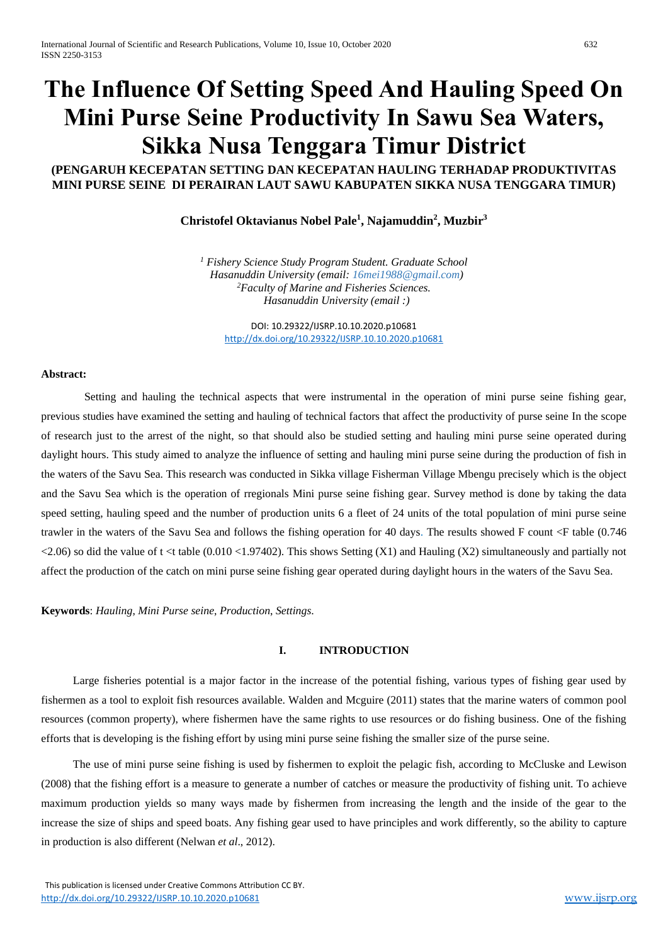# **The Influence Of Setting Speed And Hauling Speed On Mini Purse Seine Productivity In Sawu Sea Waters, Sikka Nusa Tenggara Timur District**

## **(PENGARUH KECEPATAN SETTING DAN KECEPATAN HAULING TERHADAP PRODUKTIVITAS MINI PURSE SEINE DI PERAIRAN LAUT SAWU KABUPATEN SIKKA NUSA TENGGARA TIMUR)**

## **Christofel Oktavianus Nobel Pale<sup>1</sup> , Najamuddin<sup>2</sup> , Muzbir<sup>3</sup>**

*<sup>1</sup> Fishery Science Study Program Student. Graduate School Hasanuddin University (email: 16mei1988@gmail.com) <sup>2</sup>Faculty of Marine and Fisheries Sciences. Hasanuddin University (email :)*

DOI: 10.29322/IJSRP.10.10.2020.p10681 <http://dx.doi.org/10.29322/IJSRP.10.10.2020.p10681>

## **Abstract:**

Setting and hauling the technical aspects that were instrumental in the operation of mini purse seine fishing gear, previous studies have examined the setting and hauling of technical factors that affect the productivity of purse seine In the scope of research just to the arrest of the night, so that should also be studied setting and hauling mini purse seine operated during daylight hours. This study aimed to analyze the influence of setting and hauling mini purse seine during the production of fish in the waters of the Savu Sea. This research was conducted in Sikka village Fisherman Village Mbengu precisely which is the object and the Savu Sea which is the operation of rregionals Mini purse seine fishing gear. Survey method is done by taking the data speed setting, hauling speed and the number of production units 6 a fleet of 24 units of the total population of mini purse seine trawler in the waters of the Savu Sea and follows the fishing operation for 40 days. The results showed F count <F table (0.746  $\langle 2.06 \rangle$  so did the value of t  $\langle 1.010 \rangle$  table (0.010  $\langle 1.97402 \rangle$ ). This shows Setting (X1) and Hauling (X2) simultaneously and partially not affect the production of the catch on mini purse seine fishing gear operated during daylight hours in the waters of the Savu Sea.

**Keywords**: *Hauling*, *Mini Purse seine*, *Production*, *Settings*.

#### **I. INTRODUCTION**

Large fisheries potential is a major factor in the increase of the potential fishing, various types of fishing gear used by fishermen as a tool to exploit fish resources available. Walden and Mcguire (2011) states that the marine waters of common pool resources (common property), where fishermen have the same rights to use resources or do fishing business. One of the fishing efforts that is developing is the fishing effort by using mini purse seine fishing the smaller size of the purse seine.

The use of mini purse seine fishing is used by fishermen to exploit the pelagic fish, according to McCluske and Lewison (2008) that the fishing effort is a measure to generate a number of catches or measure the productivity of fishing unit. To achieve maximum production yields so many ways made by fishermen from increasing the length and the inside of the gear to the increase the size of ships and speed boats. Any fishing gear used to have principles and work differently, so the ability to capture in production is also different (Nelwan *et al*., 2012).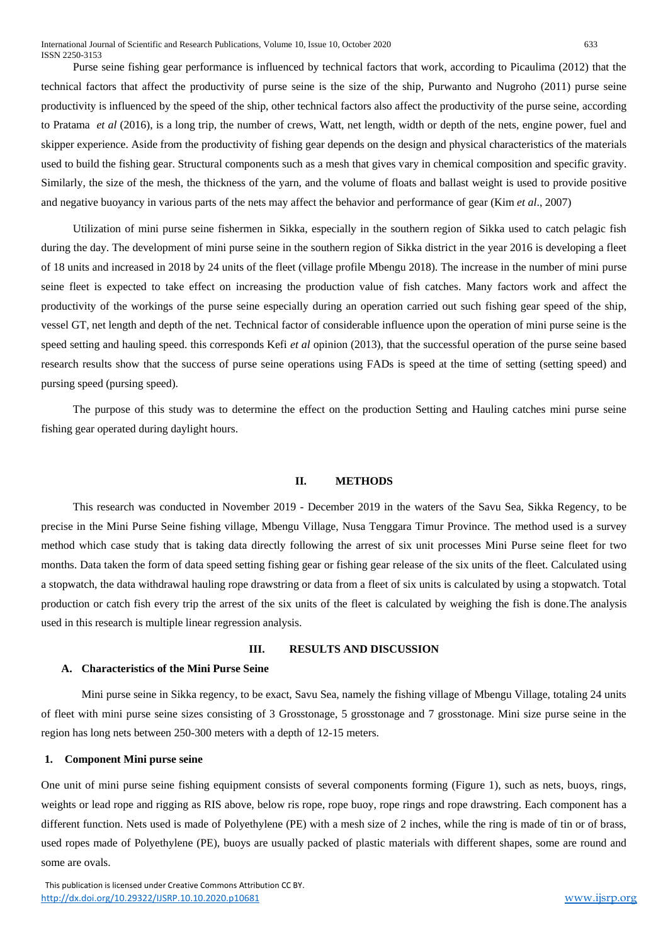Purse seine fishing gear performance is influenced by technical factors that work, according to Picaulima (2012) that the technical factors that affect the productivity of purse seine is the size of the ship, Purwanto and Nugroho (2011) purse seine productivity is influenced by the speed of the ship, other technical factors also affect the productivity of the purse seine, according to Pratama *et al* (2016), is a long trip, the number of crews, Watt, net length, width or depth of the nets, engine power, fuel and skipper experience. Aside from the productivity of fishing gear depends on the design and physical characteristics of the materials used to build the fishing gear. Structural components such as a mesh that gives vary in chemical composition and specific gravity. Similarly, the size of the mesh, the thickness of the yarn, and the volume of floats and ballast weight is used to provide positive and negative buoyancy in various parts of the nets may affect the behavior and performance of gear (Kim *et al*., 2007)

Utilization of mini purse seine fishermen in Sikka, especially in the southern region of Sikka used to catch pelagic fish during the day. The development of mini purse seine in the southern region of Sikka district in the year 2016 is developing a fleet of 18 units and increased in 2018 by 24 units of the fleet (village profile Mbengu 2018). The increase in the number of mini purse seine fleet is expected to take effect on increasing the production value of fish catches. Many factors work and affect the productivity of the workings of the purse seine especially during an operation carried out such fishing gear speed of the ship, vessel GT, net length and depth of the net. Technical factor of considerable influence upon the operation of mini purse seine is the speed setting and hauling speed. this corresponds Kefi *et al* opinion (2013), that the successful operation of the purse seine based research results show that the success of purse seine operations using FADs is speed at the time of setting (setting speed) and pursing speed (pursing speed).

The purpose of this study was to determine the effect on the production Setting and Hauling catches mini purse seine fishing gear operated during daylight hours.

#### **II. METHODS**

This research was conducted in November 2019 - December 2019 in the waters of the Savu Sea, Sikka Regency, to be precise in the Mini Purse Seine fishing village, Mbengu Village, Nusa Tenggara Timur Province. The method used is a survey method which case study that is taking data directly following the arrest of six unit processes Mini Purse seine fleet for two months. Data taken the form of data speed setting fishing gear or fishing gear release of the six units of the fleet. Calculated using a stopwatch, the data withdrawal hauling rope drawstring or data from a fleet of six units is calculated by using a stopwatch. Total production or catch fish every trip the arrest of the six units of the fleet is calculated by weighing the fish is done.The analysis used in this research is multiple linear regression analysis.

## **III. RESULTS AND DISCUSSION**

#### **A. Characteristics of the Mini Purse Seine**

Mini purse seine in Sikka regency, to be exact, Savu Sea, namely the fishing village of Mbengu Village, totaling 24 units of fleet with mini purse seine sizes consisting of 3 Grosstonage, 5 grosstonage and 7 grosstonage. Mini size purse seine in the region has long nets between 250-300 meters with a depth of 12-15 meters.

#### **1. Component Mini purse seine**

One unit of mini purse seine fishing equipment consists of several components forming (Figure 1), such as nets, buoys, rings, weights or lead rope and rigging as RIS above, below ris rope, rope buoy, rope rings and rope drawstring. Each component has a different function. Nets used is made of Polyethylene (PE) with a mesh size of 2 inches, while the ring is made of tin or of brass, used ropes made of Polyethylene (PE), buoys are usually packed of plastic materials with different shapes, some are round and some are ovals.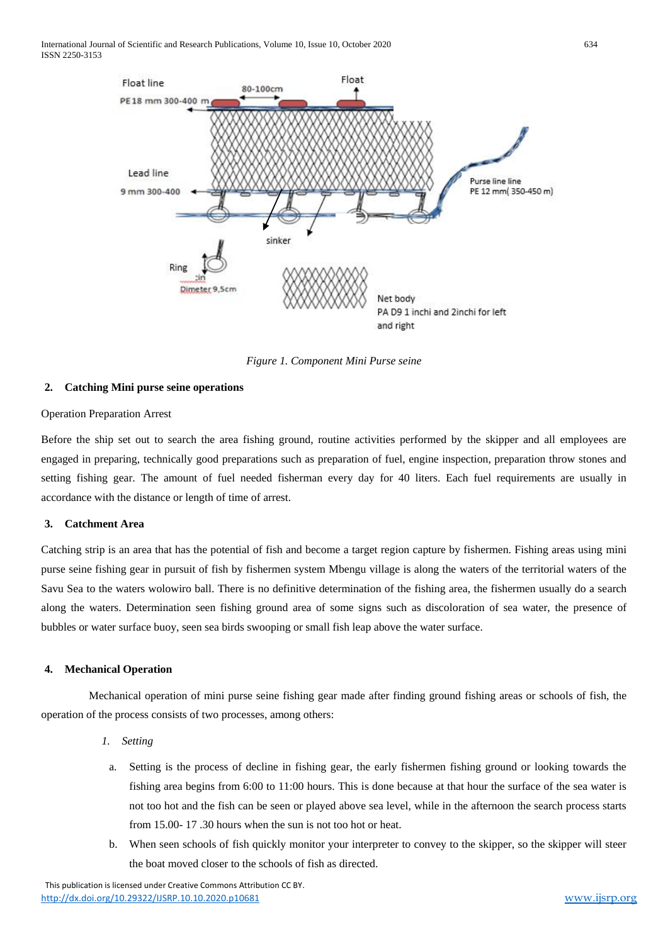

*Figure 1. Component Mini Purse seine*

## **2. Catching Mini purse seine operations**

## Operation Preparation Arrest

Before the ship set out to search the area fishing ground, routine activities performed by the skipper and all employees are engaged in preparing, technically good preparations such as preparation of fuel, engine inspection, preparation throw stones and setting fishing gear. The amount of fuel needed fisherman every day for 40 liters. Each fuel requirements are usually in accordance with the distance or length of time of arrest.

## **3. Catchment Area**

Catching strip is an area that has the potential of fish and become a target region capture by fishermen. Fishing areas using mini purse seine fishing gear in pursuit of fish by fishermen system Mbengu village is along the waters of the territorial waters of the Savu Sea to the waters wolowiro ball. There is no definitive determination of the fishing area, the fishermen usually do a search along the waters. Determination seen fishing ground area of some signs such as discoloration of sea water, the presence of bubbles or water surface buoy, seen sea birds swooping or small fish leap above the water surface.

## **4. Mechanical Operation**

Mechanical operation of mini purse seine fishing gear made after finding ground fishing areas or schools of fish, the operation of the process consists of two processes, among others:

- *1. Setting*
- a. Setting is the process of decline in fishing gear, the early fishermen fishing ground or looking towards the fishing area begins from 6:00 to 11:00 hours. This is done because at that hour the surface of the sea water is not too hot and the fish can be seen or played above sea level, while in the afternoon the search process starts from 15.00- 17 .30 hours when the sun is not too hot or heat.
- b. When seen schools of fish quickly monitor your interpreter to convey to the skipper, so the skipper will steer the boat moved closer to the schools of fish as directed.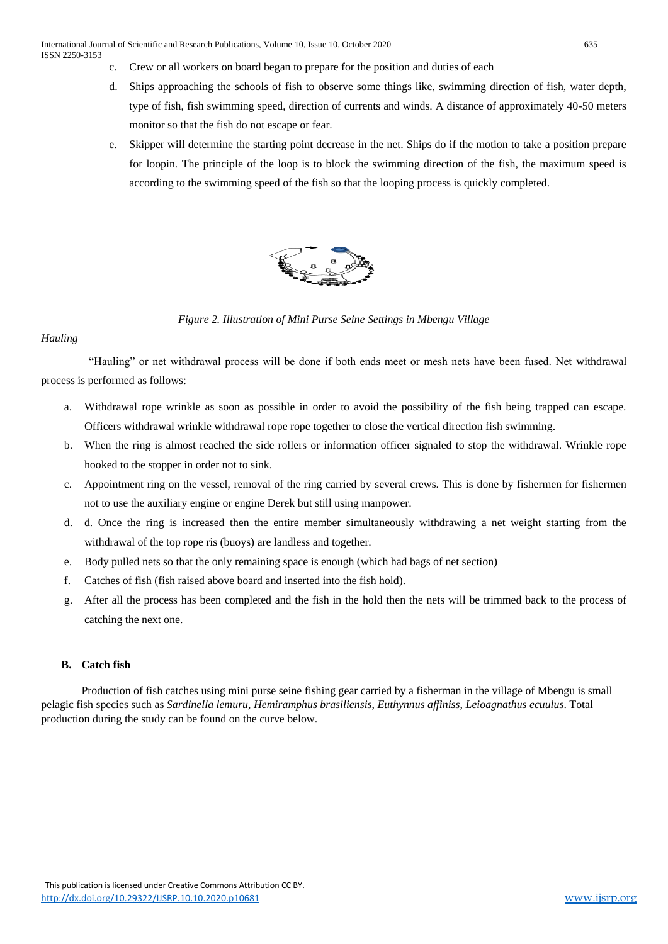- c. Crew or all workers on board began to prepare for the position and duties of each
- d. Ships approaching the schools of fish to observe some things like, swimming direction of fish, water depth, type of fish, fish swimming speed, direction of currents and winds. A distance of approximately 40-50 meters monitor so that the fish do not escape or fear.
- e. Skipper will determine the starting point decrease in the net. Ships do if the motion to take a position prepare for loopin. The principle of the loop is to block the swimming direction of the fish, the maximum speed is according to the swimming speed of the fish so that the looping process is quickly completed.



*Figure 2. Illustration of Mini Purse Seine Settings in Mbengu Village*

## *Hauling*

"Hauling" or net withdrawal process will be done if both ends meet or mesh nets have been fused. Net withdrawal process is performed as follows:

- a. Withdrawal rope wrinkle as soon as possible in order to avoid the possibility of the fish being trapped can escape. Officers withdrawal wrinkle withdrawal rope rope together to close the vertical direction fish swimming.
- b. When the ring is almost reached the side rollers or information officer signaled to stop the withdrawal. Wrinkle rope hooked to the stopper in order not to sink.
- c. Appointment ring on the vessel, removal of the ring carried by several crews. This is done by fishermen for fishermen not to use the auxiliary engine or engine Derek but still using manpower.
- d. d. Once the ring is increased then the entire member simultaneously withdrawing a net weight starting from the withdrawal of the top rope ris (buoys) are landless and together.
- e. Body pulled nets so that the only remaining space is enough (which had bags of net section)
- f. Catches of fish (fish raised above board and inserted into the fish hold).
- g. After all the process has been completed and the fish in the hold then the nets will be trimmed back to the process of catching the next one.

## **B. Catch fish**

Production of fish catches using mini purse seine fishing gear carried by a fisherman in the village of Mbengu is small pelagic fish species such as *Sardinella lemuru*, *Hemiramphus brasiliensis*, *Euthynnus affiniss*, *Leioagnathus ecuulus*. Total production during the study can be found on the curve below.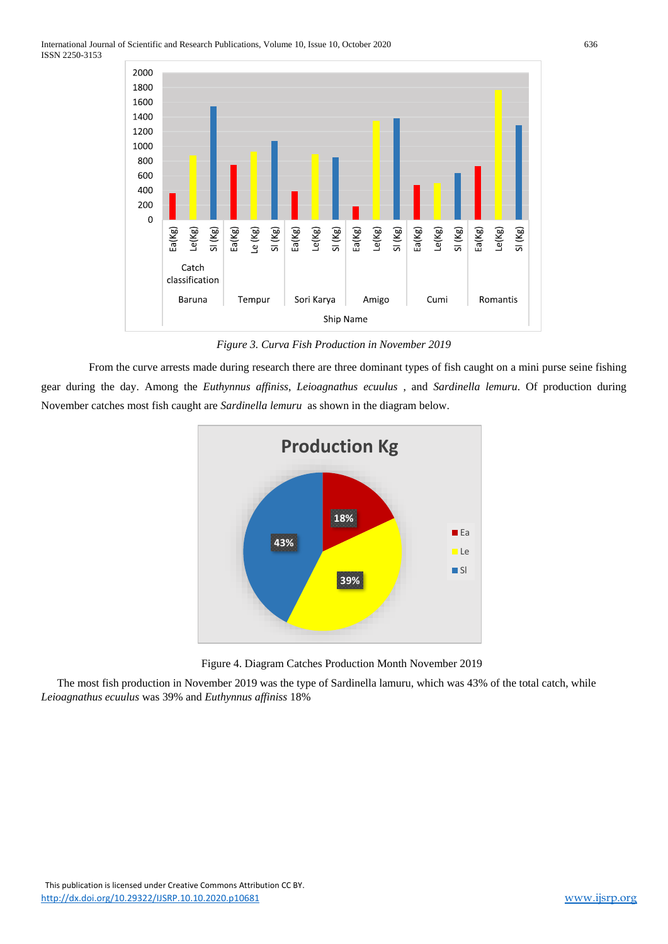

*Figure 3. Curva Fish Production in November 2019*

From the curve arrests made during research there are three dominant types of fish caught on a mini purse seine fishing gear during the day. Among the *Euthynnus affiniss*, *Leioagnathus ecuulus* , and *Sardinella lemuru*. Of production during November catches most fish caught are *Sardinella lemuru* as shown in the diagram below.



Figure 4. Diagram Catches Production Month November 2019

The most fish production in November 2019 was the type of Sardinella lamuru, which was 43% of the total catch, while *Leioagnathus ecuulus* was 39% and *Euthynnus affiniss* 18%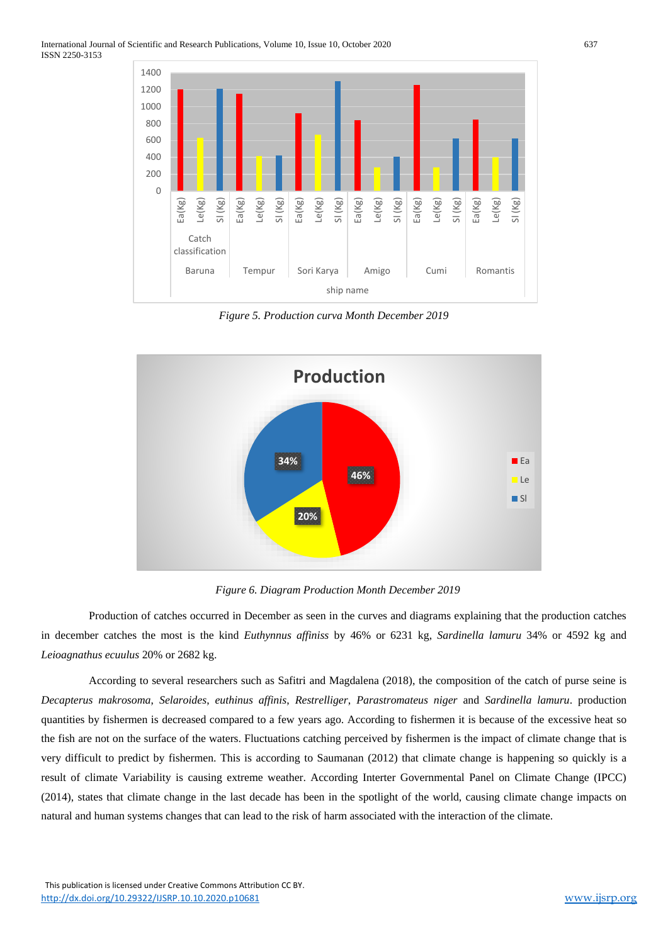

*Figure 5. Production curva Month December 2019*



*Figure 6. Diagram Production Month December 2019*

Production of catches occurred in December as seen in the curves and diagrams explaining that the production catches in december catches the most is the kind *Euthynnus affiniss* by 46% or 6231 kg, *Sardinella lamuru* 34% or 4592 kg and *Leioagnathus ecuulus* 20% or 2682 kg.

According to several researchers such as Safitri and Magdalena (2018), the composition of the catch of purse seine is *Decapterus makrosoma*, *Selaroides*, *euthinus affinis*, *Restrelliger*, *Parastromateus niger* and *Sardinella lamuru*. production quantities by fishermen is decreased compared to a few years ago. According to fishermen it is because of the excessive heat so the fish are not on the surface of the waters. Fluctuations catching perceived by fishermen is the impact of climate change that is very difficult to predict by fishermen. This is according to Saumanan (2012) that climate change is happening so quickly is a result of climate Variability is causing extreme weather. According Interter Governmental Panel on Climate Change (IPCC) (2014), states that climate change in the last decade has been in the spotlight of the world, causing climate change impacts on natural and human systems changes that can lead to the risk of harm associated with the interaction of the climate.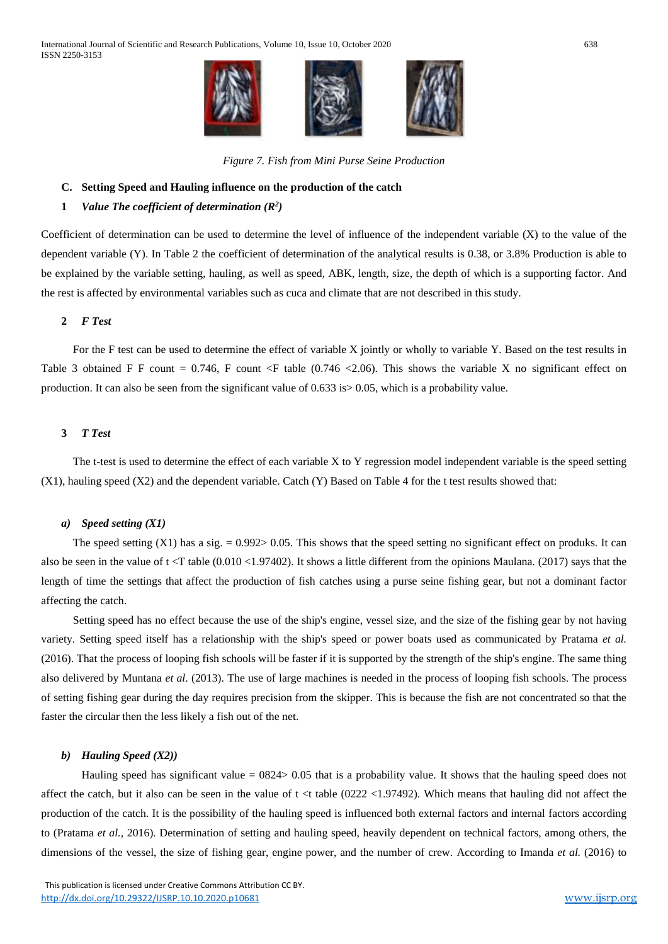

*Figure 7. Fish from Mini Purse Seine Production*

#### **C. Setting Speed and Hauling influence on the production of the catch**

#### **1** *Value The coefficient of determination (R 2 )*

Coefficient of determination can be used to determine the level of influence of the independent variable (X) to the value of the dependent variable (Y). In Table 2 the coefficient of determination of the analytical results is 0.38, or 3.8% Production is able to be explained by the variable setting, hauling, as well as speed, ABK, length, size, the depth of which is a supporting factor. And the rest is affected by environmental variables such as cuca and climate that are not described in this study.

## **2** *F Test*

For the F test can be used to determine the effect of variable X jointly or wholly to variable Y. Based on the test results in Table 3 obtained F F count = 0.746, F count <F table (0.746 <2.06). This shows the variable X no significant effect on production. It can also be seen from the significant value of 0.633 is> 0.05, which is a probability value.

## **3** *T Test*

The t-test is used to determine the effect of each variable X to Y regression model independent variable is the speed setting (X1), hauling speed (X2) and the dependent variable. Catch (Y) Based on Table 4 for the t test results showed that:

#### *a) Speed setting (X1)*

The speed setting  $(X1)$  has a sig.  $= 0.992 > 0.05$ . This shows that the speed setting no significant effect on produks. It can also be seen in the value of t <T table (0.010 <1.97402). It shows a little different from the opinions Maulana*.* (2017) says that the length of time the settings that affect the production of fish catches using a purse seine fishing gear, but not a dominant factor affecting the catch.

Setting speed has no effect because the use of the ship's engine, vessel size, and the size of the fishing gear by not having variety. Setting speed itself has a relationship with the ship's speed or power boats used as communicated by Pratama *et al.*  (2016). That the process of looping fish schools will be faster if it is supported by the strength of the ship's engine. The same thing also delivered by Muntana *et al*. (2013). The use of large machines is needed in the process of looping fish schools. The process of setting fishing gear during the day requires precision from the skipper. This is because the fish are not concentrated so that the faster the circular then the less likely a fish out of the net.

## *b) Hauling Speed (X2))*

Hauling speed has significant value = 0824> 0.05 that is a probability value. It shows that the hauling speed does not affect the catch, but it also can be seen in the value of  $t < t$  table (0222 <1.97492). Which means that hauling did not affect the production of the catch. It is the possibility of the hauling speed is influenced both external factors and internal factors according to (Pratama *et al.,* 2016). Determination of setting and hauling speed, heavily dependent on technical factors, among others, the dimensions of the vessel, the size of fishing gear, engine power, and the number of crew. According to Imanda *et al.* (2016) to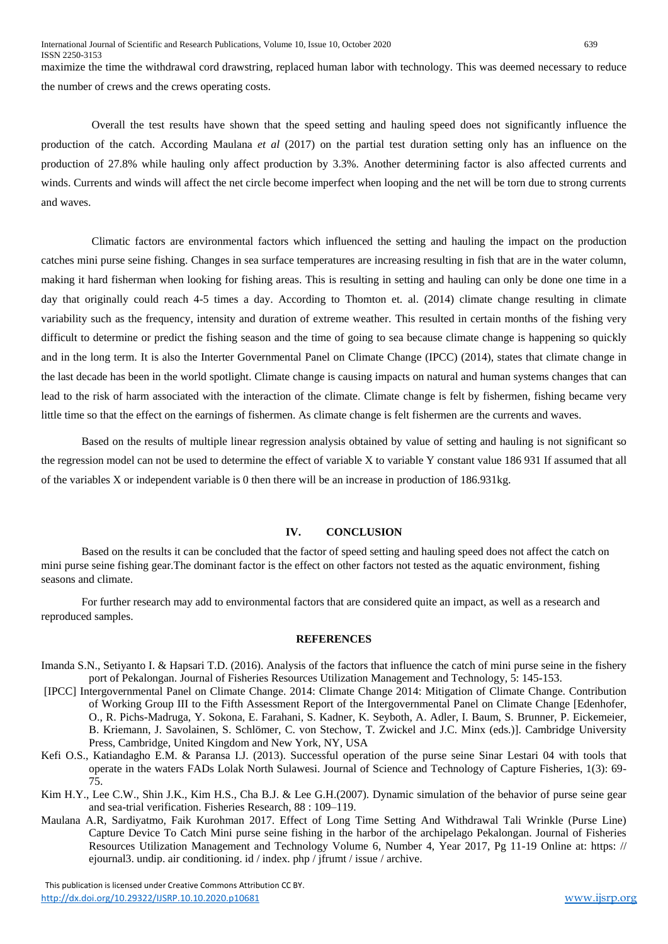maximize the time the withdrawal cord drawstring, replaced human labor with technology. This was deemed necessary to reduce the number of crews and the crews operating costs.

Overall the test results have shown that the speed setting and hauling speed does not significantly influence the production of the catch. According Maulana *et al* (2017) on the partial test duration setting only has an influence on the production of 27.8% while hauling only affect production by 3.3%. Another determining factor is also affected currents and winds. Currents and winds will affect the net circle become imperfect when looping and the net will be torn due to strong currents and waves.

Climatic factors are environmental factors which influenced the setting and hauling the impact on the production catches mini purse seine fishing. Changes in sea surface temperatures are increasing resulting in fish that are in the water column, making it hard fisherman when looking for fishing areas. This is resulting in setting and hauling can only be done one time in a day that originally could reach 4-5 times a day. According to Thomton et. al. (2014) climate change resulting in climate variability such as the frequency, intensity and duration of extreme weather. This resulted in certain months of the fishing very difficult to determine or predict the fishing season and the time of going to sea because climate change is happening so quickly and in the long term. It is also the Interter Governmental Panel on Climate Change (IPCC) (2014), states that climate change in the last decade has been in the world spotlight. Climate change is causing impacts on natural and human systems changes that can lead to the risk of harm associated with the interaction of the climate. Climate change is felt by fishermen, fishing became very little time so that the effect on the earnings of fishermen. As climate change is felt fishermen are the currents and waves.

Based on the results of multiple linear regression analysis obtained by value of setting and hauling is not significant so the regression model can not be used to determine the effect of variable X to variable Y constant value 186 931 If assumed that all of the variables X or independent variable is 0 then there will be an increase in production of 186.931kg.

#### **IV. CONCLUSION**

Based on the results it can be concluded that the factor of speed setting and hauling speed does not affect the catch on mini purse seine fishing gear.The dominant factor is the effect on other factors not tested as the aquatic environment, fishing seasons and climate.

For further research may add to environmental factors that are considered quite an impact, as well as a research and reproduced samples.

#### **REFERENCES**

- Imanda S.N., Setiyanto I. & Hapsari T.D. (2016). Analysis of the factors that influence the catch of mini purse seine in the fishery port of Pekalongan. Journal of Fisheries Resources Utilization Management and Technology, 5: 145-153.
- [IPCC] Intergovernmental Panel on Climate Change. 2014: Climate Change 2014: Mitigation of Climate Change. Contribution of Working Group III to the Fifth Assessment Report of the Intergovernmental Panel on Climate Change [Edenhofer, O., R. Pichs-Madruga, Y. Sokona, E. Farahani, S. Kadner, K. Seyboth, A. Adler, I. Baum, S. Brunner, P. Eickemeier, B. Kriemann, J. Savolainen, S. Schlömer, C. von Stechow, T. Zwickel and J.C. Minx (eds.)]. Cambridge University Press, Cambridge, United Kingdom and New York, NY, USA
- Kefi O.S., Katiandagho E.M. & Paransa I.J. (2013). Successful operation of the purse seine Sinar Lestari 04 with tools that operate in the waters FADs Lolak North Sulawesi. Journal of Science and Technology of Capture Fisheries, 1(3): 69- 75.
- Kim H.Y., Lee C.W., Shin J.K., Kim H.S., Cha B.J. & Lee G.H.(2007). Dynamic simulation of the behavior of purse seine gear and sea-trial verification. Fisheries Research, 88 : 109–119.
- Maulana A.R, Sardiyatmo, Faik Kurohman 2017. Effect of Long Time Setting And Withdrawal Tali Wrinkle (Purse Line) Capture Device To Catch Mini purse seine fishing in the harbor of the archipelago Pekalongan. Journal of Fisheries Resources Utilization Management and Technology Volume 6, Number 4, Year 2017, Pg 11-19 Online at: https: // ejournal3. undip. air conditioning. id / index. php / jfrumt / issue / archive.

 This publication is licensed under Creative Commons Attribution CC BY. <http://dx.doi.org/10.29322/IJSRP.10.10.2020.p10681> [www.ijsrp.org](http://ijsrp.org/)